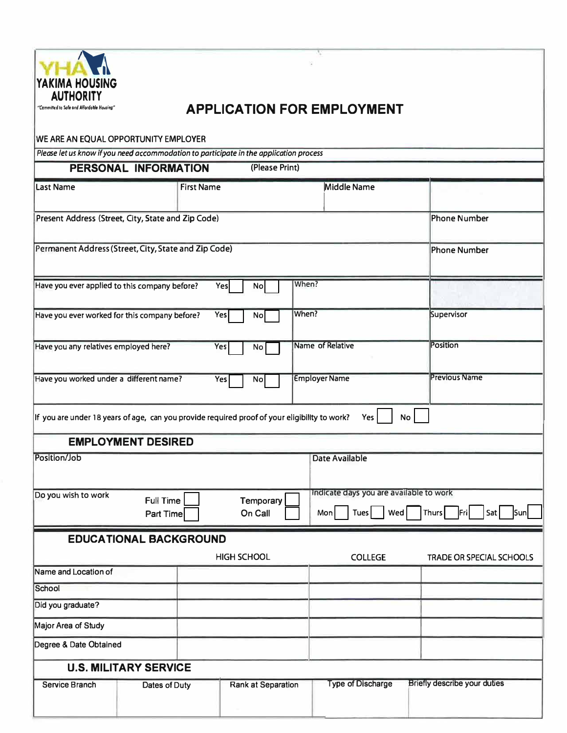

## **The Committed In Second AHOROPERS**

ŵ

| WE ARE AN EQUAL OPPORTUNITY EMPLOYER                                                                                                                                   |                               |                    |                          |                              |  |  |  |
|------------------------------------------------------------------------------------------------------------------------------------------------------------------------|-------------------------------|--------------------|--------------------------|------------------------------|--|--|--|
| Please let us know if you need accommodation to participate in the application process                                                                                 |                               |                    |                          |                              |  |  |  |
|                                                                                                                                                                        | PERSONAL INFORMATION          | (Please Print)     |                          |                              |  |  |  |
| Last Name                                                                                                                                                              | <b>First Name</b>             |                    | Middle Name              |                              |  |  |  |
| Present Address (Street, City, State and Zip Code)                                                                                                                     | Phone Number                  |                    |                          |                              |  |  |  |
| Permanent Address (Street, City, State and Zip Code)                                                                                                                   | <b>Phone Number</b>           |                    |                          |                              |  |  |  |
| Have you ever applied to this company before?                                                                                                                          |                               | Yes<br><b>No</b>   | When?                    |                              |  |  |  |
| Have you ever worked for this company before?                                                                                                                          |                               | Yes<br>No          | When?                    | Supervisor                   |  |  |  |
| Have you any relatives employed here?                                                                                                                                  |                               | Yes<br><b>No</b>   | Name of Relative         | <b>Position</b>              |  |  |  |
| Have you worked under a different name?                                                                                                                                |                               | Yes<br><b>No</b>   | <b>Employer Name</b>     | <b>Previous Name</b>         |  |  |  |
| If you are under 18 years of age, can you provide required proof of your eligibility to work?                                                                          |                               |                    | Yes                      | <b>No</b>                    |  |  |  |
|                                                                                                                                                                        | <b>EMPLOYMENT DESIRED</b>     |                    |                          |                              |  |  |  |
| Position/Job                                                                                                                                                           |                               |                    | <b>Date Available</b>    |                              |  |  |  |
| Indicate days you are available to work<br>Do you wish to work<br>Temporary<br>Full Time<br><b>Thurs</b><br>Tues  <br>Wed<br>Fri<br>On Call<br>Sat<br>Mon<br>Part Time |                               |                    |                          |                              |  |  |  |
|                                                                                                                                                                        | <b>EDUCATIONAL BACKGROUND</b> |                    |                          |                              |  |  |  |
|                                                                                                                                                                        |                               | <b>HIGH SCHOOL</b> | <b>COLLEGE</b>           | TRADE OR SPECIAL SCHOOLS     |  |  |  |
| Name and Location of                                                                                                                                                   |                               |                    |                          |                              |  |  |  |
| School                                                                                                                                                                 |                               |                    |                          |                              |  |  |  |
| Did you graduate?                                                                                                                                                      |                               |                    |                          |                              |  |  |  |
| Major Area of Study                                                                                                                                                    |                               |                    |                          |                              |  |  |  |
| Degree & Date Obtained                                                                                                                                                 |                               |                    |                          |                              |  |  |  |
|                                                                                                                                                                        | <b>U.S. MILITARY SERVICE</b>  |                    |                          |                              |  |  |  |
| Service Branch                                                                                                                                                         | Dates of Duty                 | Rank at Separation | <b>Type of Discharge</b> | Briefly describe your duties |  |  |  |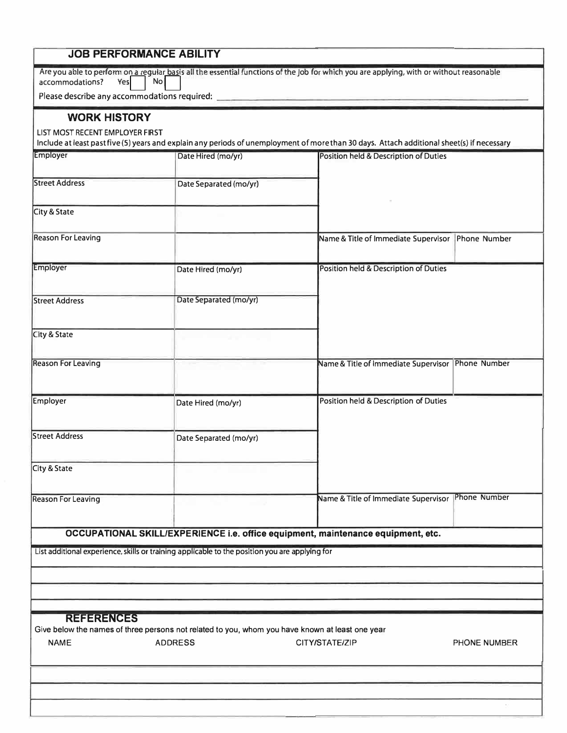| <b>JOB PERFORMANCE ABILITY</b>                                                                                                           |                                                                                                |                                                                                                                                            |  |  |  |  |  |
|------------------------------------------------------------------------------------------------------------------------------------------|------------------------------------------------------------------------------------------------|--------------------------------------------------------------------------------------------------------------------------------------------|--|--|--|--|--|
| Are you able to perform on a regular basis all the essential functions of the Job for which you are applying, with or without reasonable |                                                                                                |                                                                                                                                            |  |  |  |  |  |
| No<br>accommodations?<br>Yes                                                                                                             |                                                                                                |                                                                                                                                            |  |  |  |  |  |
| Please describe any accommodations required:                                                                                             |                                                                                                |                                                                                                                                            |  |  |  |  |  |
| <b>WORK HISTORY</b>                                                                                                                      |                                                                                                |                                                                                                                                            |  |  |  |  |  |
| LIST MOST RECENT EMPLOYER FIRST                                                                                                          |                                                                                                | Include at least past five (5) years and explain any periods of unemployment of more than 30 days. Attach additional sheet(s) if necessary |  |  |  |  |  |
| Employer                                                                                                                                 | Date Hired (mo/yr)                                                                             | Position held & Description of Duties                                                                                                      |  |  |  |  |  |
|                                                                                                                                          |                                                                                                |                                                                                                                                            |  |  |  |  |  |
| <b>Street Address</b>                                                                                                                    | Date Separated (mo/yr)                                                                         |                                                                                                                                            |  |  |  |  |  |
|                                                                                                                                          |                                                                                                |                                                                                                                                            |  |  |  |  |  |
| City & State                                                                                                                             |                                                                                                |                                                                                                                                            |  |  |  |  |  |
| <b>Reason For Leaving</b>                                                                                                                |                                                                                                | Name & Title of Immediate Supervisor Phone Number                                                                                          |  |  |  |  |  |
|                                                                                                                                          |                                                                                                |                                                                                                                                            |  |  |  |  |  |
| Employer                                                                                                                                 | Date Hired (mo/yr)                                                                             | Position held & Description of Duties                                                                                                      |  |  |  |  |  |
|                                                                                                                                          |                                                                                                |                                                                                                                                            |  |  |  |  |  |
| <b>Street Address</b>                                                                                                                    | Date Separated (mo/yr)                                                                         |                                                                                                                                            |  |  |  |  |  |
|                                                                                                                                          |                                                                                                |                                                                                                                                            |  |  |  |  |  |
| City & State                                                                                                                             |                                                                                                |                                                                                                                                            |  |  |  |  |  |
|                                                                                                                                          |                                                                                                |                                                                                                                                            |  |  |  |  |  |
| <b>Reason For Leaving</b>                                                                                                                |                                                                                                | Name & Title of Immediate Supervisor Phone Number                                                                                          |  |  |  |  |  |
|                                                                                                                                          |                                                                                                |                                                                                                                                            |  |  |  |  |  |
|                                                                                                                                          |                                                                                                |                                                                                                                                            |  |  |  |  |  |
| Employer                                                                                                                                 | Date Hired (mo/yr)                                                                             | Position held & Description of Duties                                                                                                      |  |  |  |  |  |
|                                                                                                                                          |                                                                                                |                                                                                                                                            |  |  |  |  |  |
| <b>Street Address</b>                                                                                                                    | Date Separated (mo/yr)                                                                         |                                                                                                                                            |  |  |  |  |  |
|                                                                                                                                          |                                                                                                |                                                                                                                                            |  |  |  |  |  |
| City & State                                                                                                                             |                                                                                                |                                                                                                                                            |  |  |  |  |  |
|                                                                                                                                          |                                                                                                |                                                                                                                                            |  |  |  |  |  |
| <b>Reason For Leaving</b>                                                                                                                |                                                                                                | Phone Number<br>Name & Title of Immediate Supervisor                                                                                       |  |  |  |  |  |
|                                                                                                                                          |                                                                                                |                                                                                                                                            |  |  |  |  |  |
|                                                                                                                                          |                                                                                                | OCCUPATIONAL SKILL/EXPERIENCE i.e. office equipment, maintenance equipment, etc.                                                           |  |  |  |  |  |
|                                                                                                                                          | List additional experience, skills or training applicable to the position you are applying for |                                                                                                                                            |  |  |  |  |  |
|                                                                                                                                          |                                                                                                |                                                                                                                                            |  |  |  |  |  |
|                                                                                                                                          |                                                                                                |                                                                                                                                            |  |  |  |  |  |
|                                                                                                                                          |                                                                                                |                                                                                                                                            |  |  |  |  |  |
| <b>REFERENCES</b>                                                                                                                        |                                                                                                |                                                                                                                                            |  |  |  |  |  |
| Give below the names of three persons not related to you, whom you have known at least one year                                          |                                                                                                |                                                                                                                                            |  |  |  |  |  |
| CITY/STATE/ZIP<br><b>ADDRESS</b><br>PHONE NUMBER<br><b>NAME</b>                                                                          |                                                                                                |                                                                                                                                            |  |  |  |  |  |
|                                                                                                                                          |                                                                                                |                                                                                                                                            |  |  |  |  |  |
|                                                                                                                                          |                                                                                                |                                                                                                                                            |  |  |  |  |  |
|                                                                                                                                          |                                                                                                |                                                                                                                                            |  |  |  |  |  |
|                                                                                                                                          |                                                                                                |                                                                                                                                            |  |  |  |  |  |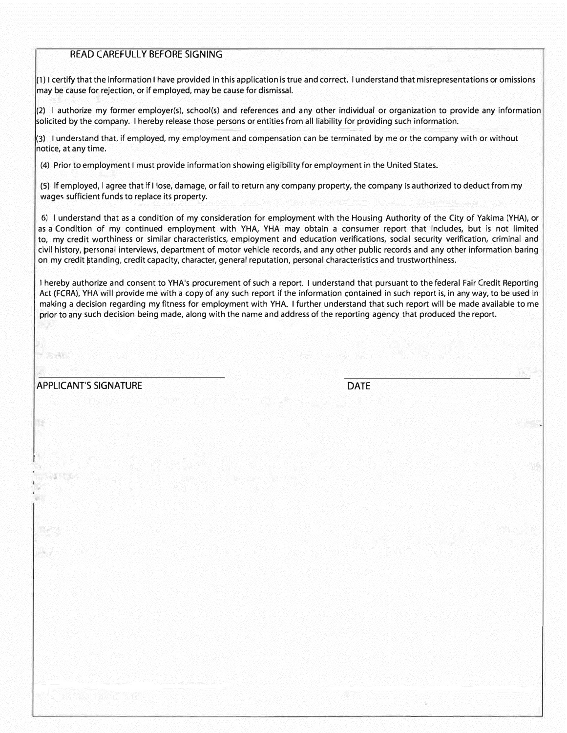## READ CAREFULLY BEFORE SIGNING

(1} I certify that the information I have provided in this application is true and correct. I understand that misrepresentations or omissions may be cause for rejection, or if employed, may be cause for dismissal.

 $(2)$  I authorize my former employer(s), school(s) and references and any other individual or organization to provide any information solicited by the company. I hereby release those persons or entities from all liability for providing such information.

 $(3)$  I understand that, if employed, my employment and compensation can be terminated by me or the company with or without notice, at any time.

(4} Prior to employment I must provide information showing eligibility for employment in the United States.

(5) If employed, I agree that if I lose, damage, or fail to return any company property, the company is authorized to deduct from my wages sufficient funds to replace its property.

6) I understand that as a condition of my consideration for employment with the Housing Authority of the City of Yakima (YHA), or as a Condition of my continued employment with YHA, YHA may obtain a consumer report that includes, but is not limited to, my credit worthiness or similar characteristics, employment and education verifications, social security verification, criminal and civil history, personal interviews, department of motor vehicle records, and any other public records and any other information baring on my credit �tanding, credit capacity, character, general reputation, personal characteristics and trustworthiness.

I hereby authorize and consent to YHA's procurement of such a report. I understand that pursuant to the federal Fair Credit Reporting Act (FCRA), YHA will provide me with a copy of any such report if the information contained in such report is, in any way, to be used in making a decision regarding my fitness for employment with YHA. I further understand that such report will be made available to me prior to any such decision being made, along with the name and address of the reporting agency that produced the report.

APPLICANT'S SIGNATURE DATE